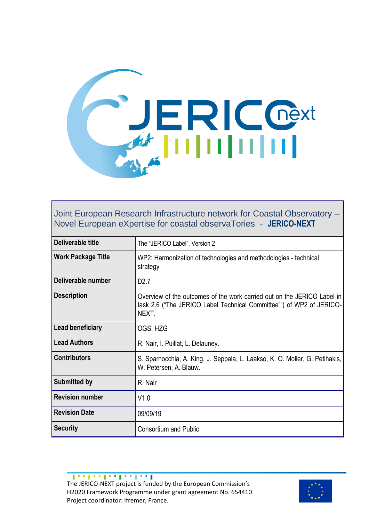

Joint European Research Infrastructure network for Coastal Observatory – Novel European eXpertise for coastal observaTories - **JERICO-NEXT**

| Deliverable title         | The "JERICO Label", Version 2                                                                                                                            |  |
|---------------------------|----------------------------------------------------------------------------------------------------------------------------------------------------------|--|
| <b>Work Package Title</b> | WP2: Harmonization of technologies and methodologies - technical<br>strategy                                                                             |  |
| Deliverable number        | D <sub>2.7</sub>                                                                                                                                         |  |
| <b>Description</b>        | Overview of the outcomes of the work carried out on the JERICO Label in<br>task 2.6 ("The JERICO Label Technical Committee"") of WP2 of JERICO-<br>NEXT. |  |
| <b>Lead beneficiary</b>   | OGS, HZG                                                                                                                                                 |  |
| <b>Lead Authors</b>       | R. Nair, I. Puillat, L. Delauney.                                                                                                                        |  |
| <b>Contributors</b>       | S. Sparnocchia, A. King, J. Seppala, L. Laakso, K. O. Moller, G. Petihakis,<br>W. Petersen, A. Blauw.                                                    |  |
| <b>Submitted by</b>       | R. Nair                                                                                                                                                  |  |
| <b>Revision number</b>    | V1.0                                                                                                                                                     |  |
| <b>Revision Date</b>      | 09/09/19                                                                                                                                                 |  |
| <b>Security</b>           | <b>Consortium and Public</b>                                                                                                                             |  |

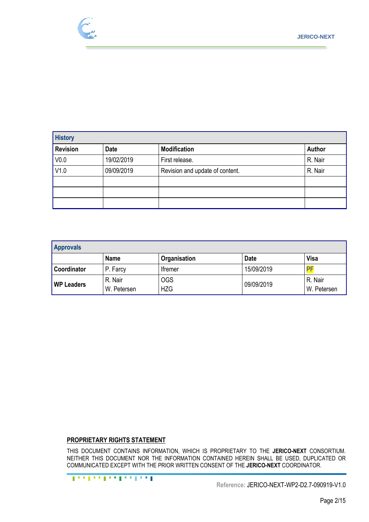**JERICO-NEXT**

| <b>History</b>   |             |                                 |         |  |
|------------------|-------------|---------------------------------|---------|--|
| <b>Revision</b>  | <b>Date</b> | Modification                    | Author  |  |
| V <sub>0.0</sub> | 19/02/2019  | First release.                  | R. Nair |  |
| V1.0             | 09/09/2019  | Revision and update of content. | R. Nair |  |
|                  |             |                                 |         |  |
|                  |             |                                 |         |  |
|                  |             |                                 |         |  |

| <b>Approvals</b>  |                        |                          |             |                        |  |
|-------------------|------------------------|--------------------------|-------------|------------------------|--|
|                   | <b>Name</b>            | Organisation             | <b>Date</b> | Visa                   |  |
| Coordinator       | P. Farcy               | Ifremer                  | 15/09/2019  | PF                     |  |
| <b>WP Leaders</b> | R. Nair<br>W. Petersen | <b>OGS</b><br><b>HZG</b> | 09/09/2019  | R. Nair<br>W. Petersen |  |

## **PROPRIETARY RIGHTS STATEMENT**

THIS DOCUMENT CONTAINS INFORMATION, WHICH IS PROPRIETARY TO THE **JERICO-NEXT** CONSORTIUM. NEITHER THIS DOCUMENT NOR THE INFORMATION CONTAINED HEREIN SHALL BE USED, DUPLICATED OR COMMUNICATED EXCEPT WITH THE PRIOR WRITTEN CONSENT OF THE **JERICO-NEXT** COORDINATOR.

# 1221221221221221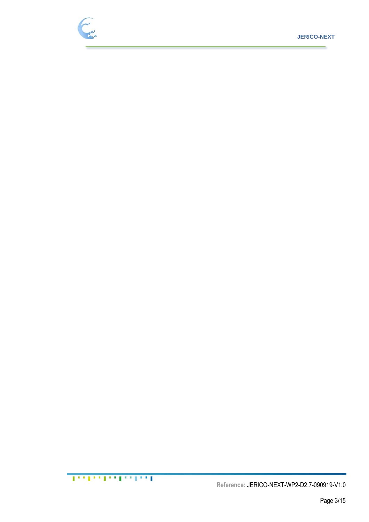**JERICO-NEXT**

C 24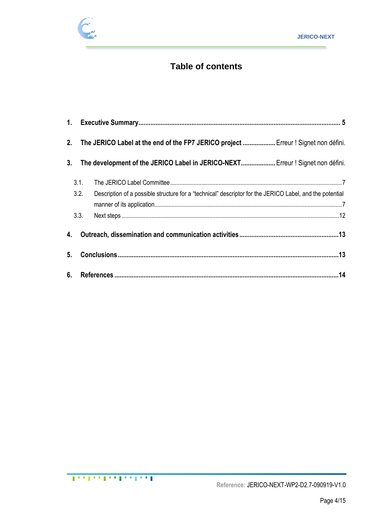

# **Table of contents**

|    |                | 2. The JERICO Label at the end of the FP7 JERICO project  Erreur ! Signet non défini.                    |  |
|----|----------------|----------------------------------------------------------------------------------------------------------|--|
|    | 3 <sub>1</sub> | The development of the JERICO Label in JERICO-NEXT Erreur ! Signet non défini.                           |  |
|    | 3.1.           |                                                                                                          |  |
|    | 3.2.           | Description of a possible structure for a "technical" descriptor for the JERICO Label, and the potential |  |
|    |                |                                                                                                          |  |
|    | 3.3.           |                                                                                                          |  |
| 4. |                |                                                                                                          |  |
|    | 5.             |                                                                                                          |  |
|    |                |                                                                                                          |  |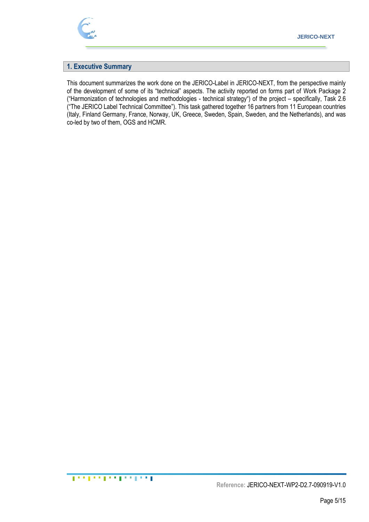

# <span id="page-4-0"></span>**1. Executive Summary**

This document summarizes the work done on the JERICO-Label in JERICO-NEXT, from the perspective mainly of the development of some of its "technical" aspects. The activity reported on forms part of Work Package 2 ("Harmonization of technologies and methodologies - technical strategy") of the project – specifically, Task 2.6 ("The JERICO Label Technical Committee"). This task gathered together 16 partners from 11 European countries (Italy, Finland Germany, France, Norway, UK, Greece, Sweden, Spain, Sweden, and the Netherlands), and was co-led by two of them, OGS and HCMR.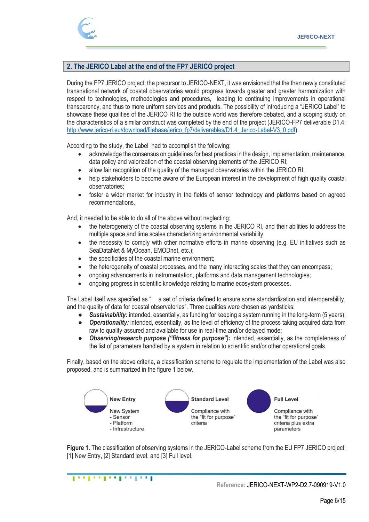

# **2. The JERICO Label at the end of the FP7 JERICO project**

During the FP7 JERICO project, the precursor to JERICO-NEXT, it was envisioned that the then newly constituted transnational network of coastal observatories would progress towards greater and greater harmonization with respect to technologies, methodologies and procedures, leading to continuing improvements in operational transparency, and thus to more uniform services and products. The possibility of introducing a "JERICO Label" to showcase these qualities of the JERICO RI to the outside world was therefore debated, and a scoping study on the characteristics of a similar construct was completed by the end of the project (JERICO-FP7 deliverable D1.4: [http://www.jerico-ri.eu/download/filebase/jerico\\_fp7/deliverables/D1.4\\_Jerico-Label-V3\\_0.pdf\)](http://www.jerico-ri.eu/download/filebase/jerico_fp7/deliverables/D1.4_Jerico-Label-V3_0.pdf).

According to the study, the Label had to accomplish the following:

- acknowledge the consensus on guidelines for best practices in the design, implementation, maintenance, data policy and valorization of the coastal observing elements of the JERICO RI;
- allow fair recognition of the quality of the managed observatories within the JERICO RI:
- help stakeholders to become aware of the European interest in the development of high quality coastal observatories;
- foster a wider market for industry in the fields of sensor technology and platforms based on agreed recommendations.

And, it needed to be able to do all of the above without neglecting:

- the heterogeneity of the coastal observing systems in the JERICO RI, and their abilities to address the multiple space and time scales characterizing environmental variability;
- the necessity to comply with other normative efforts in marine observing (e.g. EU initiatives such as SeaDataNet & MyOcean, EMODnet, etc.);
- the specificities of the coastal marine environment:
- the heterogeneity of coastal processes, and the many interacting scales that they can encompass;
- ongoing advancements in instrumentation, platforms and data management technologies;
- ongoing progress in scientific knowledge relating to marine ecosystem processes.

The Label itself was specified as "… a set of criteria defined to ensure some standardization and interoperability, and the quality of data for coastal observatories". Three qualities were chosen as yardsticks:

- **Sustainability:** intended, essentially, as funding for keeping a system running in the long-term (5 years);
- *Operationality:* intended, essentially, as the level of efficiency of the process taking acquired data from raw to quality-assured and available for use in real-time and/or delayed mode;
- *Observing/research purpose ("fitness for purpose"):* intended, essentially, as the completeness of the list of parameters handled by a system in relation to scientific and/or other operational goals.

Finally, based on the above criteria, a classification scheme to regulate the implementation of the Label was also proposed, and is summarized in the figure 1 below.



**Figure 1.** The classification of observing systems in the JERICO-Label scheme from the EU FP7 JERICO project: [1] New Entry, [2] Standard level, and [3] Full level.

**1994 - 1994 - 1994 - 1995** 

**Reference:** JERICO-NEXT-WP2-D2.7-090919-V1.0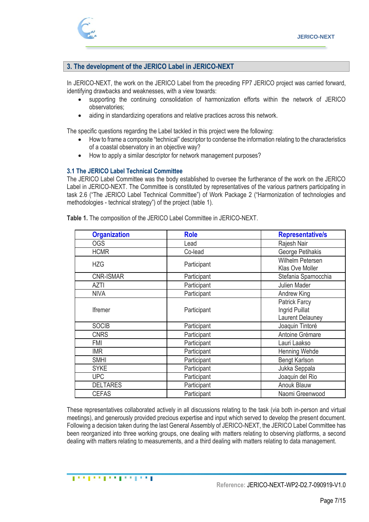

## **3. The development of the JERICO Label in JERICO-NEXT**

<span id="page-6-0"></span>In JERICO-NEXT, the work on the JERICO Label from the preceding FP7 JERICO project was carried forward, identifying drawbacks and weaknesses, with a view towards:

- supporting the continuing consolidation of harmonization efforts within the network of JERICO observatories;
- aiding in standardizing operations and relative practices across this network.

The specific questions regarding the Label tackled in this project were the following:

- How to frame a composite "technical" descriptor to condense the information relating to the characteristics of a coastal observatory in an objective way?
- How to apply a similar descriptor for network management purposes?

## **3.1 The JERICO Label Technical Committee**

The JERICO Label Committee was the body established to oversee the furtherance of the work on the JERICO Label in JERICO-NEXT. The Committee is constituted by representatives of the various partners participating in task 2.6 ("The JERICO Label Technical Committee") of Work Package 2 ("Harmonization of technologies and methodologies - technical strategy") of the project (table 1).

| <b>Organization</b> | <b>Role</b> | <b>Representative/s</b>                                           |
|---------------------|-------------|-------------------------------------------------------------------|
| <b>OGS</b>          | Lead        | Rajesh Nair                                                       |
| <b>HCMR</b>         | Co-lead     | George Petihakis                                                  |
| <b>HZG</b>          | Participant | <b>Wilhelm Petersen</b><br>Klas Ove Moller                        |
| <b>CNR-ISMAR</b>    | Participant | Stefania Sparnocchia                                              |
| <b>AZTI</b>         | Participant | <b>Julien Mader</b>                                               |
| <b>NIVA</b>         | Participant | <b>Andrew King</b>                                                |
| Ifremer             | Participant | <b>Patrick Farcy</b><br>Ingrid Puillat<br><b>Laurent Delauney</b> |
| <b>SOCIB</b>        | Participant | Joaquin Tintoré                                                   |
| <b>CNRS</b>         | Participant | Antoine Grémare                                                   |
| <b>FMI</b>          | Participant | Lauri Laakso                                                      |
| <b>IMR</b>          | Participant | Henning Wehde                                                     |
| <b>SMHI</b>         | Participant | <b>Bengt Karlson</b>                                              |
| <b>SYKE</b>         | Participant | Jukka Seppala                                                     |
| <b>UPC</b>          | Participant | Joaquin del Rio                                                   |
| <b>DELTARES</b>     | Participant | Anouk Blauw                                                       |
| <b>CEFAS</b>        | Participant | Naomi Greenwood                                                   |

**Table 1.** The composition of the JERICO Label Committee in JERICO-NEXT.

These representatives collaborated actively in all discussions relating to the task (via both in-person and virtual meetings), and generously provided precious expertise and input which served to develop the present document. Following a decision taken during the last General Assembly of JERICO-NEXT, the JERICO Label Committee has been reorganized into three working groups, one dealing with matters relating to observing platforms, a second dealing with matters relating to measurements, and a third dealing with matters relating to data management.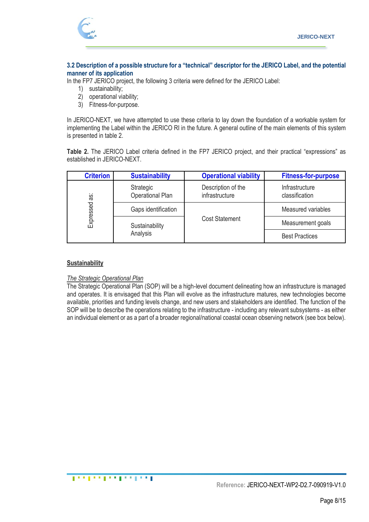

## **3.2 Description of a possible structure for a "technical" descriptor for the JERICO Label, and the potential manner of its application**

In the FP7 JERICO project, the following 3 criteria were defined for the JERICO Label:

- 1) sustainability;
- 2) operational viability;
- 3) Fitness-for-purpose.

In JERICO-NEXT, we have attempted to use these criteria to lay down the foundation of a workable system for implementing the Label within the JERICO RI in the future. A general outline of the main elements of this system is presented in table 2.

**Table 2.** The JERICO Label criteria defined in the FP7 JERICO project, and their practical "expressions" as established in JERICO-NEXT.

| <b>Criterion</b> | <b>Sustainability</b>                | <b>Operational viability</b>         | <b>Fitness-for-purpose</b>       |
|------------------|--------------------------------------|--------------------------------------|----------------------------------|
| äs               | Strategic<br><b>Operational Plan</b> | Description of the<br>infrastructure | Infrastructure<br>classification |
| Expressed        | Gaps identification                  |                                      | Measured variables               |
|                  | Sustainability                       | <b>Cost Statement</b>                | Measurement goals                |
|                  | Analysis                             |                                      | <b>Best Practices</b>            |

## **Sustainability**

#### *The Strategic Operational Plan*

The Strategic Operational Plan (SOP) will be a high-level document delineating how an infrastructure is managed and operates. It is envisaged that this Plan will evolve as the infrastructure matures, new technologies become available, priorities and funding levels change, and new users and stakeholders are identified. The function of the SOP will be to describe the operations relating to the infrastructure - including any relevant subsystems - as either an individual element or as a part of a broader regional/national coastal ocean observing network (see box below).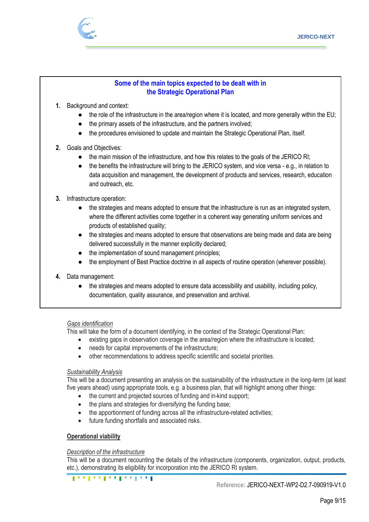

# **Some of the main topics expected to be dealt with in the Strategic Operational Plan**

- **1.** Background and context:
	- **●** the role of the infrastructure in the area/region where it is located, and more generally within the EU;
	- **●** the primary assets of the infrastructure, and the partners involved;
	- **●** the procedures envisioned to update and maintain the Strategic Operational Plan, itself.
- **2.** Goals and Objectives:
	- **●** the main mission of the infrastructure, and how this relates to the goals of the JERICO RI;
	- the benefits the infrastructure will bring to the JERICO system, and vice versa e.g., in relation to data acquisition and management, the development of products and services, research, education and outreach, etc.
- **3.** Infrastructure operation:
	- **●** the strategies and means adopted to ensure that the infrastructure is run as an integrated system, where the different activities come together in a coherent way generating uniform services and products of established quality;
	- **●** the strategies and means adopted to ensure that observations are being made and data are being delivered successfully in the manner explicitly declared;
	- the implementation of sound management principles;
	- the employment of Best Practice doctrine in all aspects of routine operation (wherever possible).
- **4.** Data management:
	- **●** the strategies and means adopted to ensure data accessibility and usability, including policy, documentation, quality assurance, and preservation and archival.

## *Gaps identification*

This will take the form of a document identifying, in the context of the Strategic Operational Plan:

- existing gaps in observation coverage in the area/region where the infrastructure is located;
- needs for capital improvements of the infrastructure;
- other recommendations to address specific scientific and societal priorities.

## *Sustainability Analysis*

This will be a document presenting an analysis on the sustainability of the infrastructure in the long-term (at least five years ahead) using appropriate tools, e.g. a business plan, that will highlight among other things:

- the current and projected sources of funding and in-kind support;
- the plans and strategies for diversifying the funding base;
- the apportionment of funding across all the infrastructure-related activities;
- future funding shortfalls and associated risks.

## **Operational viability**

## *Description of the infrastructure*

This will be a document recounting the details of the infrastructure (components, organization, output, products, etc.), demonstrating its eligibility for incorporation into the JERICO RI system.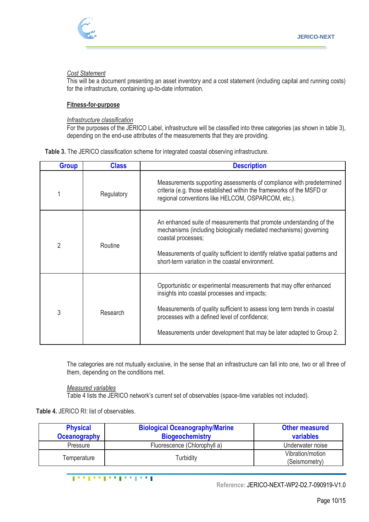

## *Cost Statement*

This will be a document presenting an asset inventory and a cost statement (including capital and running costs) for the infrastructure, containing up-to-date information.

## **Fitness-for-purpose**

## *Infrastructure classification*

For the purposes of the JERICO Label, infrastructure will be classified into three categories (as shown in table 3), depending on the end-use attributes of the measurements that they are providing.

**Table 3.** The JERICO classification scheme for integrated coastal observing infrastructure.

| <b>Group</b> | <b>Class</b> | <b>Description</b>                                                                                                                                                                                                                                                                                                      |  |
|--------------|--------------|-------------------------------------------------------------------------------------------------------------------------------------------------------------------------------------------------------------------------------------------------------------------------------------------------------------------------|--|
|              | Regulatory   | Measurements supporting assessments of compliance with predetermined<br>criteria (e.g. those established within the frameworks of the MSFD or<br>regional conventions like HELCOM, OSPARCOM, etc.).                                                                                                                     |  |
| 2            | Routine      | An enhanced suite of measurements that promote understanding of the<br>mechanisms (including biologically mediated mechanisms) governing<br>coastal processes;<br>Measurements of quality sufficient to identify relative spatial patterns and<br>short-term variation in the coastal environment.                      |  |
| 3            | Research     | Opportunistic or experimental measurements that may offer enhanced<br>insights into coastal processes and impacts;<br>Measurements of quality sufficient to assess long term trends in coastal<br>processes with a defined level of confidence;<br>Measurements under development that may be later adapted to Group 2. |  |

The categories are not mutually exclusive, in the sense that an infrastructure can fall into one, two or all three of them, depending on the conditions met.

## *Measured variables*

Table 4 lists the JERICO network's current set of observables (space-time variables not included).

**Table 4.** JERICO RI: list of observables.

| <b>Physical</b><br><b>Oceanography</b> | <b>Biological Oceanography/Marine</b><br><b>Biogeochemistry</b> | <b>Other measured</b><br>variables |
|----------------------------------------|-----------------------------------------------------------------|------------------------------------|
| Pressure                               | Fluorescence (Chlorophyll a)                                    | Underwater noise                   |
| Temperature                            | Turbidity                                                       | Vibration/motion<br>(Seismometry)  |

# 1221223-023-023-024

**Reference:** JERICO-NEXT-WP2-D2.7-090919-V1.0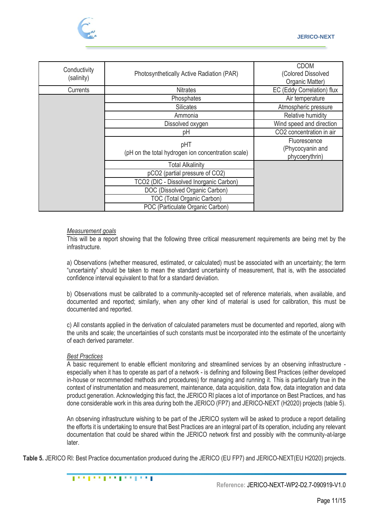

| Conductivity |                                                           | <b>CDOM</b>                                        |
|--------------|-----------------------------------------------------------|----------------------------------------------------|
| (salinity)   | Photosynthetically Active Radiation (PAR)                 | (Colored Dissolved<br>Organic Matter)              |
| Currents     | <b>Nitrates</b>                                           | EC (Eddy Correlation) flux                         |
|              | Phosphates                                                | Air temperature                                    |
|              | <b>Silicates</b>                                          | Atmospheric pressure                               |
|              | Ammonia                                                   | Relative humidity                                  |
|              | Dissolved oxygen                                          | Wind speed and direction                           |
|              | рH                                                        | CO2 concentration in air                           |
|              | pHT<br>(pH on the total hydrogen ion concentration scale) | Fluorescence<br>(Phycocyanin and<br>phycoerythrin) |
|              | <b>Total Alkalinity</b>                                   |                                                    |
|              | pCO2 (partial pressure of CO2)                            |                                                    |
|              | TCO2 (DIC - Dissolved Inorganic Carbon)                   |                                                    |
|              | DOC (Dissolved Organic Carbon)                            |                                                    |
|              | TOC (Total Organic Carbon)                                |                                                    |
|              | POC (Particulate Organic Carbon)                          |                                                    |

#### *Measurement goals*

This will be a report showing that the following three critical measurement requirements are being met by the infrastructure.

a) Observations (whether measured, estimated, or calculated) must be associated with an uncertainty; the term "uncertainty" should be taken to mean the standard uncertainty of measurement, that is, with the associated confidence interval equivalent to that for a standard deviation.

b) Observations must be calibrated to a community-accepted set of reference materials, when available, and documented and reported; similarly, when any other kind of material is used for calibration, this must be documented and reported.

c) All constants applied in the derivation of calculated parameters must be documented and reported, along with the units and scale; the uncertainties of such constants must be incorporated into the estimate of the uncertainty of each derived parameter.

#### *Best Practices*

A basic requirement to enable efficient monitoring and streamlined services by an observing infrastructure especially when it has to operate as part of a network - is defining and following Best Practices (either developed in-house or recommended methods and procedures) for managing and running it. This is particularly true in the context of instrumentation and measurement, maintenance, data acquisition, data flow, data integration and data product generation. Acknowledging this fact, the JERICO RI places a lot of importance on Best Practices, and has done considerable work in this area during both the JERICO (FP7) and JERICO-NEXT (H2020) projects (table 5).

An observing infrastructure wishing to be part of the JERICO system will be asked to produce a report detailing the efforts it is undertaking to ensure that Best Practices are an integral part of its operation, including any relevant documentation that could be shared within the JERICO network first and possibly with the community-at-large **later** 

**Table 5.** JERICO RI: Best Practice documentation produced during the JERICO (EU FP7) and JERICO-NEXT(EU H2020) projects.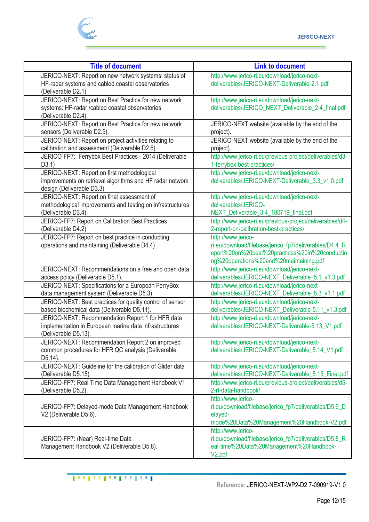| <b>Title of document</b>                                                                                                               | <b>Link to document</b>                                                                                                                                                   |
|----------------------------------------------------------------------------------------------------------------------------------------|---------------------------------------------------------------------------------------------------------------------------------------------------------------------------|
| JERICO-NEXT: Report on new network systems: status of<br>HF-radar systems and cabled coastal observatories<br>(Deliverable D2.1)       | http://www.jerico-ri.eu/download/jerico-next-<br>deliverables/JERICO-NEXT-Deliverable-2.1.pdf                                                                             |
| JERICO-NEXT: Report on Best Practice for new network<br>systems: HF-radar /cabled coastal observatories<br>(Deliverable D2.4).         | http://www.jerico-ri.eu/download/jerico-next-<br>deliverables/JERICO_NEXT_Deliverable_2.4_final.pdf                                                                       |
| JERICO-NEXT: Report on Best Practice for new network                                                                                   | JERICO-NEXT website (available by the end of the                                                                                                                          |
| sensors (Deliverable D2.5).                                                                                                            | project).                                                                                                                                                                 |
| JERICO-NEXT: Report on project activities relating to                                                                                  | JERICO-NEXT website (available by the end of the                                                                                                                          |
| calibration and assessment (Deliverable D2.6).                                                                                         | project).                                                                                                                                                                 |
| JERICO-FP7: Ferrybox Best Practices - 2014 (Deliverable                                                                                | http://www.jerico-ri.eu/previous-project/deliverables/d3-                                                                                                                 |
| D3.1                                                                                                                                   | 1-ferrybox-best-practices/                                                                                                                                                |
| JERICO-NEXT: Report on first methodological<br>improvements on retrieval algorithms and HF radar network<br>design (Deliverable D3.3). | http://www.jerico-ri.eu/download/jerico-next-<br>deliverables/JERICO-NEXT-Deliverable_3.3_v1.0.pdf                                                                        |
| JERICO-NEXT: Report on final assessment of                                                                                             | http://www.jerico-ri.eu/download/jerico-next-                                                                                                                             |
| methodological improvements and testing on infrastructures                                                                             | deliverables/JERICO-                                                                                                                                                      |
| (Deliverable D3.4).                                                                                                                    | NEXT_Deliverable_3.4_180719_final.pdf                                                                                                                                     |
| JERICO-FP7: Report on Calibration Best Practices                                                                                       | http://www.jerico-ri.eu/previous-project/deliverables/d4-                                                                                                                 |
| (Deliverable D4.2)                                                                                                                     | 2-report-on-calibration-best-practices/                                                                                                                                   |
| JERICO-FP7: Report on best practice in conducting<br>operations and maintaining (Deliverable D4.4)                                     | http://www.jerico-<br>ri.eu/download/filebase/jerico_fp7/deliverables/D4.4_R<br>eport%20on%20best%20practices%20in%20conductio<br>ng%20operations%20and%20maintaining.pdf |
| JERICO-NEXT: Recommendations on a free and open data                                                                                   | http://www.jerico-ri.eu/download/jerico-next-                                                                                                                             |
| access policy (Deliverable D5.1).                                                                                                      | deliverables/JERICO-NEXT_Deliverable_5.1_v1.3.pdf                                                                                                                         |
| JERICO-NEXT: Specifications for a European FerryBox                                                                                    | http://www.jerico-ri.eu/download/jerico-next-                                                                                                                             |
| data management system (Deliverable D5.3).                                                                                             | deliverables/JERICO-NEXT_Deliverable_5.3_v1.1.pdf                                                                                                                         |
| JERICO-NEXT: Best practices for quality control of sensor                                                                              | http://www.jerico-ri.eu/download/jerico-next-                                                                                                                             |
| based biochemical data (Deliverable D5.11).                                                                                            | deliverables/JERICO-NEXT_Deliverable-5.11_v1.3.pdf                                                                                                                        |
| JERICO-NEXT: Recommendation Report 1 for HFR data<br>implementation in European marine data infrastructures<br>(Deliverable D5.13).    | http://www.jerico-ri.eu/download/jerico-next-<br>deliverables/JERICO-NEXT-Deliverable-5.13 V1.pdf                                                                         |
| JERICO-NEXT: Recommendation Report 2 on improved<br>common procedures for HFR QC analysis (Deliverable<br>$D5.14$ ).                   | http://www.jerico-ri.eu/download/jerico-next-<br>deliverables/JERICO-NEXT-Deliverable 5.14 V1.pdf                                                                         |
| JERICO-NEXT: Guideline for the calibration of Glider data                                                                              | http://www.jerico-ri.eu/download/jerico-next-                                                                                                                             |
| (Deliverable D5.15).                                                                                                                   | deliverables/JERICO-NEXT-Deliverable_5.15_Final.pdf                                                                                                                       |
| JERICO-FP7: Real Time Data Management Handbook V1                                                                                      | http://www.jerico-ri.eu/previous-project/deliverables/d5-                                                                                                                 |
| (Deliverable D5.2).                                                                                                                    | 2-rt-data-handbook/                                                                                                                                                       |
| JERICO-FP7: Delayed-mode Data Management Handbook<br>V2 (Deliverable D5.6).                                                            | http://www.jerico-<br>ri.eu/download/filebase/jerico_fp7/deliverables/D5.6_D<br>elayed-<br>mode%20Data%20Management%20Handbook-V2.pdf                                     |
| JERICO-FP7: (Near) Real-time Data<br>Management Handbook V2 (Deliverable D5.8).                                                        | http://www.jerico-<br>ri.eu/download/filebase/jerico_fp7/deliverables/D5.8_R<br>eal-time%20Data%20Management%20Handbook-<br>V <sub>2.pdf</sub>                            |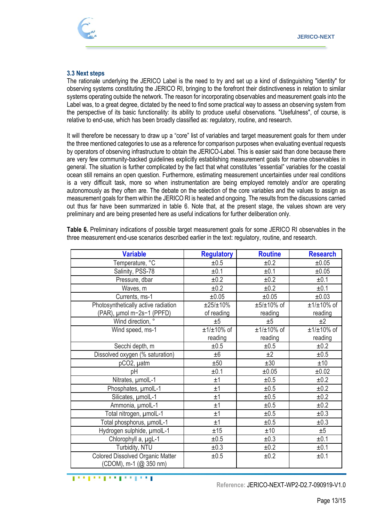

## **3.3 Next steps**

<span id="page-12-0"></span>The rationale underlying the JERICO Label is the need to try and set up a kind of distinguishing "identity" for observing systems constituting the JERICO RI, bringing to the forefront their distinctiveness in relation to similar systems operating outside the network. The reason for incorporating observables and measurement goals into the Label was, to a great degree, dictated by the need to find some practical way to assess an observing system from the perspective of its basic functionality: its ability to produce useful observations. "Usefulness", of course, is relative to end-use, which has been broadly classified as: regulatory, routine, and research.

It will therefore be necessary to draw up a "core" list of variables and target measurement goals for them under the three mentioned categories to use as a reference for comparison purposes when evaluating eventual requests by operators of observing infrastructure to obtain the JERICO-Label. This is easier said than done because there are very few community-backed guidelines explicitly establishing measurement goals for marine observables in general. The situation is further complicated by the fact that what constitutes "essential" variables for the coastal ocean still remains an open question. Furthermore, estimating measurement uncertainties under real conditions is a very difficult task, more so when instrumentation are being employed remotely and/or are operating autonomously as they often are. The debate on the selection of the core variables and the values to assign as measurement goals for them within the JERICO RI is heated and ongoing. The results from the discussions carried out thus far have been summarized in table 6. Note that, at the present stage, the values shown are very preliminary and are being presented here as useful indications for further deliberation only.

**Table 6.** Preliminary indications of possible target measurement goals for some JERICO RI observables in the three measurement end-use scenarios described earlier in the text: regulatory, routine, and research.

| <b>Variable</b>                                                   | <b>Regulatory</b>     | <b>Routine</b>        | <b>Research</b>       |
|-------------------------------------------------------------------|-----------------------|-----------------------|-----------------------|
| Temperature, °C                                                   | ±0.5                  | ±0.2                  | ±0.05                 |
| Salinity, PSS-78                                                  | ±0.1                  | ±0.1                  | ±0.05                 |
| Pressure, dbar                                                    | ±0.2                  | ±0.2                  | ±0.1                  |
| Waves, m                                                          | ±0.2                  | ±0.2                  | ±0.1                  |
| Currents, ms-1                                                    | ±0.05                 | ±0.05                 | ±0.03                 |
| Photosynthetically active radiation                               | ±25/±10%              | $\pm 5/\pm 10\%$ of   | $\pm$ 1/ $\pm$ 10% of |
| (PAR), umol m-2s-1 (PPFD)                                         | of reading            | reading               | reading               |
| Wind direction, °                                                 | ±5                    | ±5                    | ±2                    |
| Wind speed, ms-1                                                  | $\pm$ 1/ $\pm$ 10% of | $\pm$ 1/ $\pm$ 10% of | $\pm$ 1/ $\pm$ 10% of |
|                                                                   | reading               | reading               | reading               |
| Secchi depth, m                                                   | ±0.5                  | ±0.5                  | ±0.2                  |
| Dissolved oxygen (% saturation)                                   | ±6                    | ±2                    | ±0.5                  |
| pCO2, µatm                                                        | ±50                   | ±30                   | ±10                   |
| pН                                                                | ±0.1                  | ±0.05                 | ±0.02                 |
| Nitrates, umolL-1                                                 | ±1                    | ±0.5                  | ±0.2                  |
| Phosphates, umolL-1                                               | ±1                    | ±0.5                  | ±0.2                  |
| Silicates, µmolL-1                                                | ±1                    | ±0.5                  | ±0.2                  |
| Ammonia, umolL-1                                                  | ±1                    | ±0.5                  | ±0.2                  |
| Total nitrogen, umolL-1                                           | ±1                    | ±0.5                  | ±0.3                  |
| Total phosphorus, umolL-1                                         | ±1                    | ±0.5                  | ±0.3                  |
| Hydrogen sulphide, umolL-1                                        | ±15                   | ±10                   | ±5                    |
| Chlorophyll a, µgL-1                                              | ±0.5                  | ±0.3                  | ±0.1                  |
| Turbidity, NTU                                                    | ±0.3                  | ±0.2                  | ±0.1                  |
| <b>Colored Dissolved Organic Matter</b><br>(CDOM), m-1 (@ 350 nm) | ±0.5                  | ±0.2                  | ±0.1                  |

1991 1992 1993 1994 1994

**Reference:** JERICO-NEXT-WP2-D2.7-090919-V1.0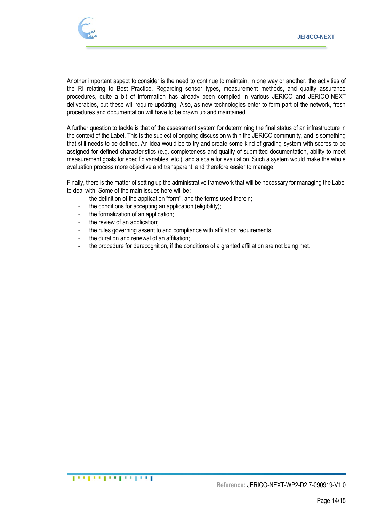

Another important aspect to consider is the need to continue to maintain, in one way or another, the activities of the RI relating to Best Practice. Regarding sensor types, measurement methods, and quality assurance procedures, quite a bit of information has already been compiled in various JERICO and JERICO-NEXT deliverables, but these will require updating. Also, as new technologies enter to form part of the network, fresh procedures and documentation will have to be drawn up and maintained.

A further question to tackle is that of the assessment system for determining the final status of an infrastructure in the context of the Label. This is the subject of ongoing discussion within the JERICO community, and is something that still needs to be defined. An idea would be to try and create some kind of grading system with scores to be assigned for defined characteristics (e.g. completeness and quality of submitted documentation, ability to meet measurement goals for specific variables, etc.), and a scale for evaluation. Such a system would make the whole evaluation process more objective and transparent, and therefore easier to manage.

Finally, there is the matter of setting up the administrative framework that will be necessary for managing the Label to deal with. Some of the main issues here will be:

- the definition of the application "form", and the terms used therein;
- the conditions for accepting an application (eligibility);
- the formalization of an application;
- the review of an application;
- the rules governing assent to and compliance with affiliation requirements;
- the duration and renewal of an affiliation;
- the procedure for derecognition, if the conditions of a granted affiliation are not being met.